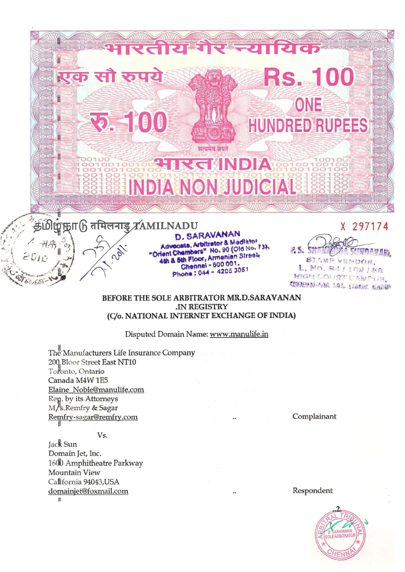

### BEFORE THE SOLE ARBITRATOR MR.D.SARAVANAN .IN REGISTRY (C/o. NATIONAL INTERNET EXCHANGE OF INDIA)

Disputed Domain Name: www.manulife.in

The Manufacturers Life Insurance Company 200 Bloor Street East NT10 Toronto, Ontario Canada M4W 1E5 Elaine\_Noble@manulife.com Rep. by its Attorneys M/s.Remfry & Sagar Remfry-sagar@remfry.com

Complainant

Vs.

Jack Sun Domain Jet, Inc. 1600 Amphitheatre Parkway Mountain View California 94043, USA domainjet@foxmail.com ğ

Respondent

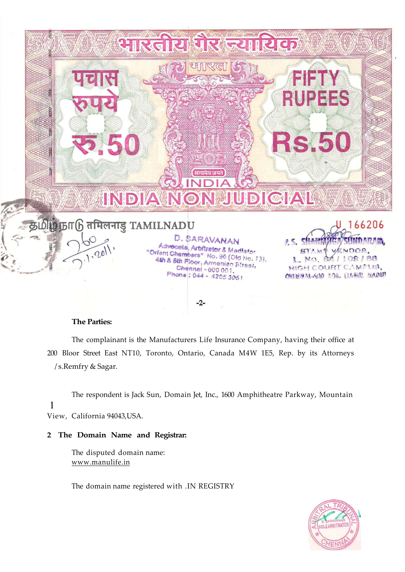

## **The Parties:**

The complainant is the Manufacturers Life Insurance Company, having their office at 200 Bloor Street East NT10, Toronto, Ontario, Canada M4W 1E5, Rep. by its Attorneys / s.Remfry & Sagar.

The respondent is Jack Sun, Domain Jet, Inc., 1600 Amphitheatre Parkway, Mountain 1 View, California 94043,USA.

## **2 The Domain Name and Registrar:**

The disputed domain name: [www.manulife.in](http://www.manulife.in) 

The domain name registered with .IN REGISTRY

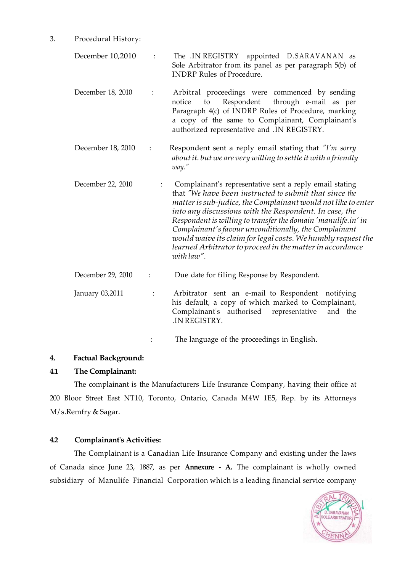3. Procedural History:

| December 10,2010  | $\ddot{\cdot}$ | The .IN REGISTRY appointed D.SARAVANAN<br>as<br>Sole Arbitrator from its panel as per paragraph 5(b) of<br><b>INDRP Rules of Procedure.</b>                                                                                                                                                                                                                                                                                                                                                                       |
|-------------------|----------------|-------------------------------------------------------------------------------------------------------------------------------------------------------------------------------------------------------------------------------------------------------------------------------------------------------------------------------------------------------------------------------------------------------------------------------------------------------------------------------------------------------------------|
| December 18, 2010 | $\ddot{\cdot}$ | Arbitral proceedings were commenced by sending<br>Respondent<br>through e-mail as per<br>notice<br>to<br>Paragraph 4(c) of INDRP Rules of Procedure, marking<br>a copy of the same to Complainant, Complainant's<br>authorized representative and .IN REGISTRY.                                                                                                                                                                                                                                                   |
| December 18, 2010 |                | Respondent sent a reply email stating that "I'm sorry<br>about it. but we are very willing to settle it with a friendly<br>way."                                                                                                                                                                                                                                                                                                                                                                                  |
| December 22, 2010 |                | Complainant's representative sent a reply email stating<br>that "We have been instructed to submit that since the<br>matter is sub-judice, the Complainant would not like to enter<br>into any discussions with the Respondent. In case, the<br>Respondent is willing to transfer the domain 'manulife.in' in<br>Complainant's favour unconditionally, the Complainant<br>would waive its claim for legal costs. We humbly request the<br>learned Arbitrator to proceed in the matter in accordance<br>with law". |
| December 29, 2010 | $\vdots$       | Due date for filing Response by Respondent.                                                                                                                                                                                                                                                                                                                                                                                                                                                                       |
| January 03,2011   | $\ddot{\cdot}$ | Arbitrator sent an e-mail to Respondent notifying<br>his default, a copy of which marked to Complainant,<br>Complainant's authorised<br>representative<br>and the<br>.IN REGISTRY.                                                                                                                                                                                                                                                                                                                                |
|                   |                | The language of the proceedings in English.                                                                                                                                                                                                                                                                                                                                                                                                                                                                       |

# **4. Factual Background:**

# **4.1 The Complainant:**

The complainant is the Manufacturers Life Insurance Company, having their office at 200 Bloor Street East NT10, Toronto, Ontario, Canada M4W 1E5, Rep. by its Attorneys M/ s.Remfry & Sagar.

# **4.2 Complainant's Activities:**

The Complainant is a Canadian Life Insurance Company and existing under the laws of Canada since June 23, 1887, as per **Annexure - A.** The complainant is wholly owned subsidiary of Manulife Financial Corporation which is a leading financial service company

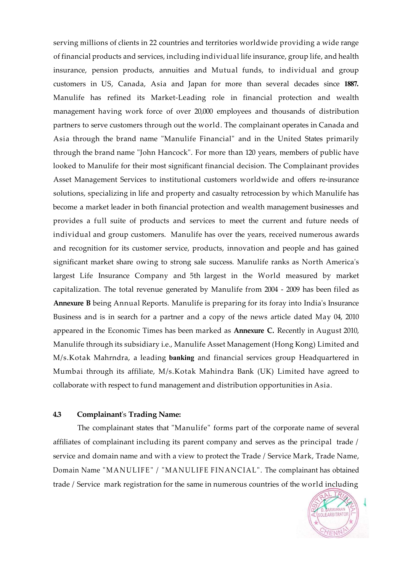serving millions of clients in 22 countries and territories worldwide providing a wide range of financial products and services, including individual life insurance, group life, and health insurance, pension products, annuities and Mutual funds, to individual and group customers in US, Canada, Asia and Japan for more than several decades since **1887.**  Manulife has refined its Market-Leading role in financial protection and wealth management having work force of over 20,000 employees and thousands of distribution partners to serve customers through out the world. The complainant operates in Canada and Asia through the brand name "Manulife Financial" and in the United States primarily through the brand name "John Hancock". For more than 120 years, members of public have looked to Manulife for their most significant financial decision. The Complainant provides Asset Management Services to institutional customers worldwide and offers re-insurance solutions, specializing in life and property and casualty retrocession by which Manulife has become a market leader in both financial protection and wealth management businesses and provides a full suite of products and services to meet the current and future needs of individual and group customers. Manulife has over the years, received numerous awards and recognition for its customer service, products, innovation and people and has gained significant market share owing to strong sale success. Manulife ranks as North America's largest Life Insurance Company and 5th largest in the World measured by market capitalization. The total revenue generated by Manulife from 2004 - 2009 has been filed as **Annexure B** being Annual Reports. Manulife is preparing for its foray into India's Insurance Business and is in search for a partner and a copy of the news article dated May 04, 2010 appeared in the Economic Times has been marked as **Annexure C.** Recently in August 2010, Manulife through its subsidiary i.e., Manulife Asset Management (Hong Kong) Limited and M/s.Kotak Mahrndra, a leading **banking** and financial services group Headquartered in Mumbai through its affiliate, M/s.Kotak Mahindra Bank (UK) Limited have agreed to collaborate with respect to fund management and distribution opportunities in Asia.

### **4.3 Complainant**'s **Trading Name:**

The complainant states that "Manulife" forms part of the corporate name of several affiliates of complainant including its parent company and serves as the principal trade / service and domain name and with a view to protect the Trade / Service Mark, Trade Name, Domain Name "MANULIFE" / "MANULIFE FINANCIAL". The complainant has obtained trade / Service mark registration for the same in numerous countries of the world including

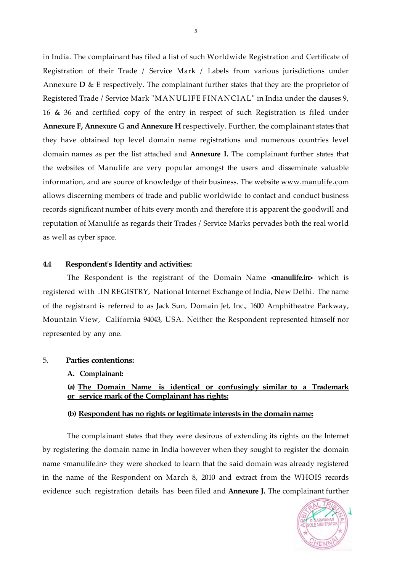in India. The complainant has filed a list of such Worldwide Registration and Certificate of Registration of their Trade / Service Mark / Labels from various jurisdictions under Annexure **D** & E respectively. The complainant further states that they are the proprietor of Registered Trade / Service Mark "MANULIFE FINANCIAL" in India under the clauses 9, 16 & 36 and certified copy of the entry in respect of such Registration is filed under **Annexure F, Annexure** G **and Annexure H** respectively. Further, the complainant states that they have obtained top level domain name registrations and numerous countries level domain names as per the list attached and **Annexure I.** The complainant further states that the websites of Manulife are very popular amongst the users and disseminate valuable information, and are source of knowledge of their business. The website [www.manulife.com](http://www.manulife.com) allows discerning members of trade and public worldwide to contact and conduct business records significant number of hits every month and therefore it is apparent the goodwill and reputation of Manulife as regards their Trades / Service Marks pervades both the real world as well as cyber space.

# **4.4 Respondent's Identity and activities:**

The Respondent is the registrant of the Domain Name **<manulife.in>** which is registered with .IN REGISTRY, National Internet Exchange of India, New Delhi. The name of the registrant is referred to as Jack Sun, Domain Jet, Inc., 1600 Amphitheatre Parkway, Mountain View, California 94043, USA. Neither the Respondent represented himself nor represented by any one.

#### 5. **Parties contentions:**

**A. Complainant:** 

**(a) The Domain Name is identical or confusingly similar to a Trademark or service mark of the Complainant has rights:** 

### **(b) Respondent has no rights or legitimate interests in the domain name:**

The complainant states that they were desirous of extending its rights on the Internet by registering the domain name in India however when they sought to register the domain name <manulife.in> they were shocked to learn that the said domain was already registered in the name of the Respondent on March 8, 2010 and extract from the WHOIS records evidence such registration details has been filed and **Annexure J.** The complainant further

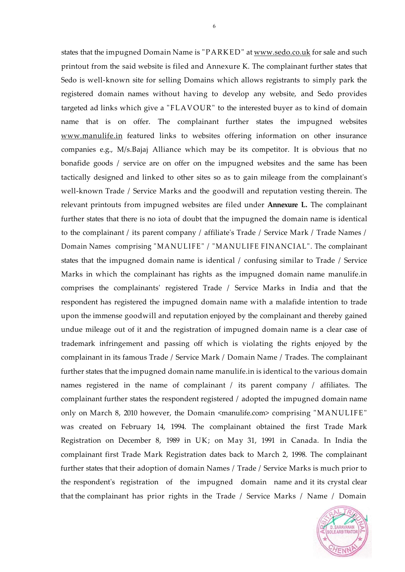states that the impugned Domain Name is "PARKED" at [www.sedo.co.uk](http://www.sedo.co.uk) for sale and such printout from the said website is filed and Annexure K. The complainant further states that Sedo is well-known site for selling Domains which allows registrants to simply park the registered domain names without having to develop any website, and Sedo provides targeted ad links which give a "FLAVOUR" to the interested buyer as to kind of domain name that is on offer. The complainant further states the impugned websites [www.manulife.in](http://www.manulife.in) featured links to websites offering information on other insurance companies e.g., M/s.Bajaj Alliance which may be its competitor. It is obvious that no bonafide goods / service are on offer on the impugned websites and the same has been tactically designed and linked to other sites so as to gain mileage from the complainant's well-known Trade / Service Marks and the goodwill and reputation vesting therein. The relevant printouts from impugned websites are filed under **Annexure L.** The complainant further states that there is no iota of doubt that the impugned the domain name is identical to the complainant / its parent company / affiliate's Trade / Service Mark / Trade Names / Domain Names comprising "MANULIFE" / "MANULIFE FINANCIAL". The complainant states that the impugned domain name is identical / confusing similar to Trade / Service Marks in which the complainant has rights as the impugned domain name manulife.in comprises the complainants' registered Trade / Service Marks in India and that the respondent has registered the impugned domain name with a malafide intention to trade upon the immense goodwill and reputation enjoyed by the complainant and thereby gained undue mileage out of it and the registration of impugned domain name is a clear case of trademark infringement and passing off which is violating the rights enjoyed by the complainant in its famous Trade / Service Mark / Domain Name / Trades. The complainant further states that the impugned domain name manulife.in is identical to the various domain names registered in the name of complainant / its parent company / affiliates. The complainant further states the respondent registered / adopted the impugned domain name only on March 8, 2010 however, the Domain <manulife.com> comprising "MANULIFE" was created on February 14, 1994. The complainant obtained the first Trade Mark Registration on December 8, 1989 in UK; on May 31, 1991 in Canada. In India the complainant first Trade Mark Registration dates back to March 2, 1998. The complainant further states that their adoption of domain Names / Trade / Service Marks is much prior to the respondent's registration of the impugned domain name and it its crystal clear that the complainant has prior rights in the Trade / Service Marks / Name / Domain

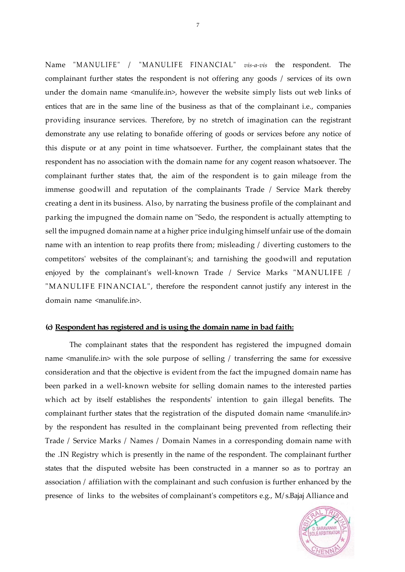Name "MANULIFE" / "MANULIFE FINANCIAL" *vis-a-vis* the respondent. The complainant further states the respondent is not offering any goods / services of its own under the domain name <manulife.in>, however the website simply lists out web links of entices that are in the same line of the business as that of the complainant i.e., companies providing insurance services. Therefore, by no stretch of imagination can the registrant demonstrate any use relating to bonafide offering of goods or services before any notice of this dispute or at any point in time whatsoever. Further, the complainant states that the respondent has no association with the domain name for any cogent reason whatsoever. The complainant further states that, the aim of the respondent is to gain mileage from the immense goodwill and reputation of the complainants Trade / Service Mark thereby creating a dent in its business. Also, by narrating the business profile of the complainant and parking the impugned the domain name on "Sedo, the respondent is actually attempting to sell the impugned domain name at a higher price indulging himself unfair use of the domain name with an intention to reap profits there from; misleading / diverting customers to the competitors' websites of the complainant's; and tarnishing the goodwill and reputation enjoyed by the complainant's well-known Trade / Service Marks "MANULIFE / "MANULIFE FINANCIAL", therefore the respondent cannot justify any interest in the domain name <manulife.in>.

#### **(c) Respondent has registered and is using the domain name in bad faith:**

The complainant states that the respondent has registered the impugned domain name <manulife.in> with the sole purpose of selling / transferring the same for excessive consideration and that the objective is evident from the fact the impugned domain name has been parked in a well-known website for selling domain names to the interested parties which act by itself establishes the respondents' intention to gain illegal benefits. The complainant further states that the registration of the disputed domain name <manulife.in> by the respondent has resulted in the complainant being prevented from reflecting their Trade / Service Marks / Names / Domain Names in a corresponding domain name with the .IN Registry which is presently in the name of the respondent. The complainant further states that the disputed website has been constructed in a manner so as to portray an association / affiliation with the complainant and such confusion is further enhanced by the presence of links to the websites of complainant's competitors e.g., M/ s.Bajaj Alliance and



7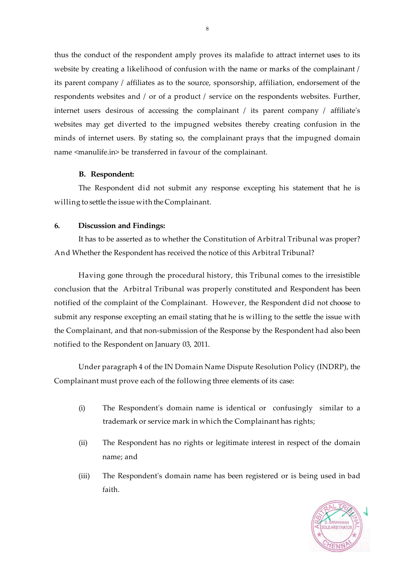thus the conduct of the respondent amply proves its malafide to attract internet uses to its website by creating a likelihood of confusion with the name or marks of the complainant / its parent company / affiliates as to the source, sponsorship, affiliation, endorsement of the respondents websites and / or of a product / service on the respondents websites. Further, internet users desirous of accessing the complainant / its parent company / affiliate's websites may get diverted to the impugned websites thereby creating confusion in the minds of internet users. By stating so, the complainant prays that the impugned domain name <manulife.in> be transferred in favour of the complainant.

### **B. Respondent:**

The Respondent did not submit any response excepting his statement that he is willing to settle the issue with the Complainant.

### **6. Discussion and Findings:**

It has to be asserted as to whether the Constitution of Arbitral Tribunal was proper? And Whether the Respondent has received the notice of this Arbitral Tribunal?

Having gone through the procedural history, this Tribunal comes to the irresistible conclusion that the Arbitral Tribunal was properly constituted and Respondent has been notified of the complaint of the Complainant. However, the Respondent did not choose to submit any response excepting an email stating that he is willing to the settle the issue with the Complainant, and that non-submission of the Response by the Respondent had also been notified to the Respondent on January 03, 2011.

Under paragraph 4 of the IN Domain Name Dispute Resolution Policy (INDRP), the Complainant must prove each of the following three elements of its case:

- (i) The Respondent's domain name is identical or confusingly similar to a trademark or service mark in which the Complainant has rights;
- (ii) The Respondent has no rights or legitimate interest in respect of the domain name; and
- (iii) The Respondent's domain name has been registered or is being used in bad faith.

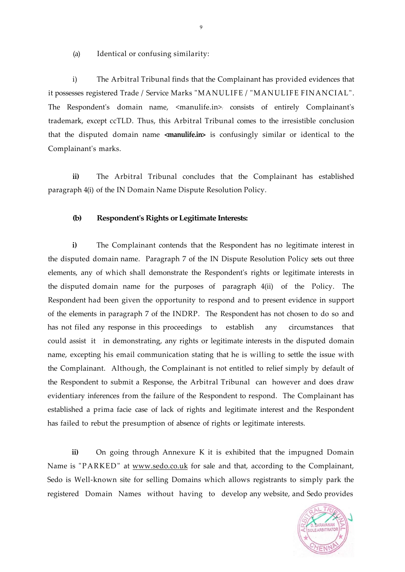(a) Identical or confusing similarity:

i) The Arbitral Tribunal finds that the Complainant has provided evidences that it possesses registered Trade / Service Marks "MANULIFE / "MANULIFE FINANCIAL". The Respondent's domain name, <manulife.in>, consists of entirely Complainant's trademark, except ccTLD. Thus, this Arbitral Tribunal comes to the irresistible conclusion that the disputed domain name **<manulife.in>** is confusingly similar or identical to the Complainant's marks.

**ii)** The Arbitral Tribunal concludes that the Complainant has established paragraph 4(i) of the IN Domain Name Dispute Resolution Policy.

#### **(b) Respondent's Rights or Legitimate Interests:**

**i)** The Complainant contends that the Respondent has no legitimate interest in the disputed domain name. Paragraph 7 of the IN Dispute Resolution Policy sets out three elements, any of which shall demonstrate the Respondent's rights or legitimate interests in the disputed domain name for the purposes of paragraph 4(ii) of the Policy. The Respondent had been given the opportunity to respond and to present evidence in support of the elements in paragraph 7 of the INDRP. The Respondent has not chosen to do so and has not filed any response in this proceedings to establish any circumstances that could assist it in demonstrating, any rights or legitimate interests in the disputed domain name, excepting his email communication stating that he is willing to settle the issue with the Complainant. Although, the Complainant is not entitled to relief simply by default of the Respondent to submit a Response, the Arbitral Tribunal can however and does draw evidentiary inferences from the failure of the Respondent to respond. The Complainant has established a prima facie case of lack of rights and legitimate interest and the Respondent has failed to rebut the presumption of absence of rights or legitimate interests.

**ii)** On going through Annexure K it is exhibited that the impugned Domain Name is "PARKED" at [www.sedo.co.uk](http://www.sedo.co.uk) for sale and that, according to the Complainant, Sedo is Well-known site for selling Domains which allows registrants to simply park the registered Domain Names without having to develop any website, and Sedo provides



9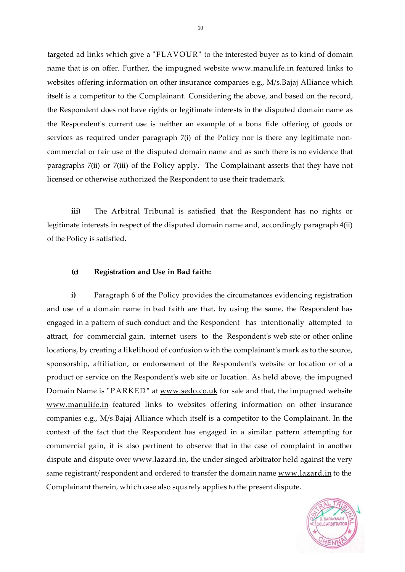targeted ad links which give a "FLAVOUR" to the interested buyer as to kind of domain name that is on offer. Further, the impugned website [www.manulife.in](http://www.manulife.in) featured links to websites offering information on other insurance companies e.g., M/s.Bajaj Alliance which itself is a competitor to the Complainant. Considering the above, and based on the record, the Respondent does not have rights or legitimate interests in the disputed domain name as the Respondent's current use is neither an example of a bona fide offering of goods or services as required under paragraph 7(i) of the Policy nor is there any legitimate noncommercial or fair use of the disputed domain name and as such there is no evidence that paragraphs 7(ii) or 7(iii) of the Policy apply. The Complainant asserts that they have not licensed or otherwise authorized the Respondent to use their trademark.

**iii)** The Arbitral Tribunal is satisfied that the Respondent has no rights or legitimate interests in respect of the disputed domain name and, accordingly paragraph 4(ii) of the Policy is satisfied.

## **(c) Registration and Use in Bad faith:**

**i)** Paragraph 6 of the Policy provides the circumstances evidencing registration and use of a domain name in bad faith are that, by using the same, the Respondent has engaged in a pattern of such conduct and the Respondent has intentionally attempted to attract, for commercial gain, internet users to the Respondent's web site or other online locations, by creating a likelihood of confusion with the complainant's mark as to the source, sponsorship, affiliation, or endorsement of the Respondent's website or location or of a product or service on the Respondent's web site or location. As held above, the impugned Domain Name is "PARKED" at [www.sedo.co.uk](http://www.sedo.co.uk) for sale and that, the impugned website [www.manulife.in f](http://www.manulife.in)eatured links to websites offering information on other insurance companies e.g., M/s.Bajaj Alliance which itself is a competitor to the Complainant. In the context of the fact that the Respondent has engaged in a similar pattern attempting for commercial gain, it is also pertinent to observe that in the case of complaint in another dispute and dispute over [www.lazard.in,](http://www.lazard.in) the under singed arbitrator held against the very same registrant/ respondent and ordered to transfer the domain name [www.lazard.in](http://www.lazard.in) to the Complainant therein, which case also squarely applies to the present dispute.